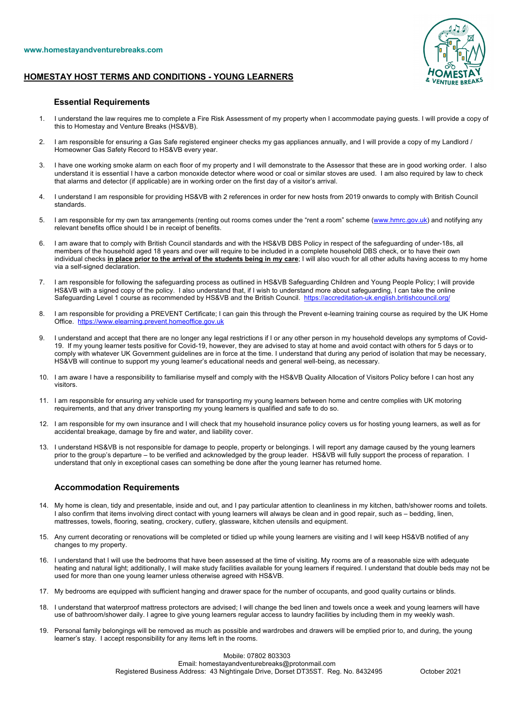

## **HOMESTAY HOST TERMS AND CONDITIONS - YOUNG LEARNERS**

## **Essential Requirements**

- 1. I understand the law requires me to complete a Fire Risk Assessment of my property when I accommodate paying guests. I will provide a copy of this to Homestay and Venture Breaks (HS&VB).
- 2. I am responsible for ensuring a Gas Safe registered engineer checks my gas appliances annually, and I will provide a copy of my Landlord / Homeowner Gas Safety Record to HS&VB every year.
- 3. I have one working smoke alarm on each floor of my property and I will demonstrate to the Assessor that these are in good working order. I also understand it is essential I have a carbon monoxide detector where wood or coal or similar stoves are used. I am also required by law to check that alarms and detector (if applicable) are in working order on the first day of a visitor's arrival.
- 4. I understand I am responsible for providing HS&VB with 2 references in order for new hosts from 2019 onwards to comply with British Council standards.
- 5. I am responsible for my own tax arrangements (renting out rooms comes under the "rent a room" scheme (www.hmrc.gov.uk) and notifying any relevant benefits office should I be in receipt of benefits.
- 6. I am aware that to comply with British Council standards and with the HS&VB DBS Policy in respect of the safeguarding of under-18s, all members of the household aged 18 years and over will require to be included in a complete household DBS check, or to have their own individual checks **in place prior to the arrival of the students being in my care**; I will also vouch for all other adults having access to my home via a self-signed declaration.
- 7. I am responsible for following the safeguarding process as outlined in HS&VB Safeguarding Children and Young People Policy; I will provide HS&VB with a signed copy of the policy. I also understand that, if I wish to understand more about safeguarding, I can take the online Safeguarding Level 1 course as recommended by HS&VB and the British Council. https://accreditation-uk.english.britishcouncil.org/
- 8. I am responsible for providing a PREVENT Certificate; I can gain this through the Prevent e-learning training course as required by the UK Home Office. https://www.elearning.prevent.homeoffice.gov.uk
- 9. I understand and accept that there are no longer any legal restrictions if I or any other person in my household develops any symptoms of Covid-19. If my young learner tests positive for Covid-19, however, they are advised to stay at home and avoid contact with others for 5 days or to comply with whatever UK Government guidelines are in force at the time. I understand that during any period of isolation that may be necessary, HS&VB will continue to support my young learner's educational needs and general well-being, as necessary.
- 10. I am aware I have a responsibility to familiarise myself and comply with the HS&VB Quality Allocation of Visitors Policy before I can host any visitors.
- 11. I am responsible for ensuring any vehicle used for transporting my young learners between home and centre complies with UK motoring requirements, and that any driver transporting my young learners is qualified and safe to do so.
- 12. I am responsible for my own insurance and I will check that my household insurance policy covers us for hosting young learners, as well as for accidental breakage, damage by fire and water, and liability cover.
- 13. I understand HS&VB is not responsible for damage to people, property or belongings. I will report any damage caused by the young learners prior to the group's departure – to be verified and acknowledged by the group leader. HS&VB will fully support the process of reparation. I understand that only in exceptional cases can something be done after the young learner has returned home.

## **Accommodation Requirements**

- 14. My home is clean, tidy and presentable, inside and out, and I pay particular attention to cleanliness in my kitchen, bath/shower rooms and toilets. I also confirm that items involving direct contact with young learners will always be clean and in good repair, such as – bedding, linen, mattresses, towels, flooring, seating, crockery, cutlery, glassware, kitchen utensils and equipment.
- 15. Any current decorating or renovations will be completed or tidied up while young learners are visiting and I will keep HS&VB notified of any changes to my property.
- 16. I understand that I will use the bedrooms that have been assessed at the time of visiting. My rooms are of a reasonable size with adequate heating and natural light; additionally, I will make study facilities available for young learners if required. I understand that double beds may not be used for more than one young learner unless otherwise agreed with HS&VB.
- 17. My bedrooms are equipped with sufficient hanging and drawer space for the number of occupants, and good quality curtains or blinds.
- 18. I understand that waterproof mattress protectors are advised; I will change the bed linen and towels once a week and young learners will have use of bathroom/shower daily. I agree to give young learners regular access to laundry facilities by including them in my weekly wash.
- 19. Personal family belongings will be removed as much as possible and wardrobes and drawers will be emptied prior to, and during, the young learner's stay. I accept responsibility for any items left in the rooms.

Mobile: 07802 803303 Email: homestayandventurebreaks@protonmail.com Registered Business Address: 43 Nightingale Drive, Dorset DT35ST. Reg. No. 8432495 October 2021